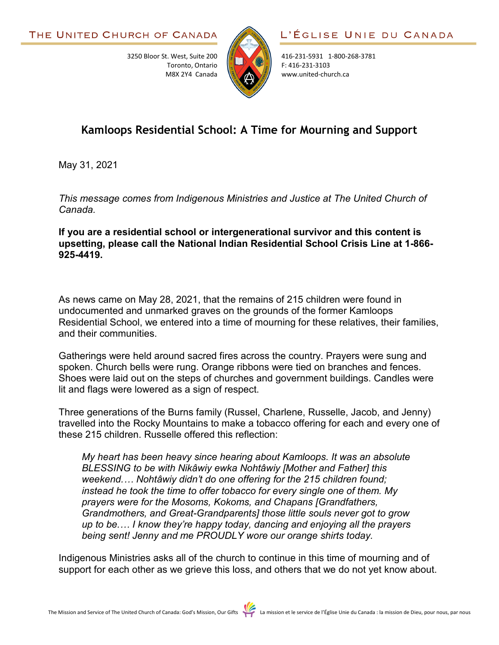3250 Bloor St. West, Suite 200

Toronto, Ontario M8X 2Y4 Canada



416-231-5931 1-800-268-3781 F: 416-231-3103 www.united-church.ca

## **Kamloops Residential School: A Time for Mourning and Support**

May 31, 2021

*This message comes from Indigenous Ministries and Justice at The United Church of Canada.*

**If you are a residential school or intergenerational survivor and this content is upsetting, please call the National Indian Residential School Crisis Line at 1-866- 925-4419.**

As news came on May 28, 2021, that the remains of 215 children were found in undocumented and unmarked graves on the grounds of the former Kamloops Residential School, we entered into a time of mourning for these relatives, their families, and their communities.

Gatherings were held around sacred fires across the country. Prayers were sung and spoken. Church bells were rung. Orange ribbons were tied on branches and fences. Shoes were laid out on the steps of churches and government buildings. Candles were lit and flags were lowered as a sign of respect.

Three generations of the Burns family (Russel, Charlene, Russelle, Jacob, and Jenny) travelled into the Rocky Mountains to make a tobacco offering for each and every one of these 215 children. Russelle offered this reflection:

*My heart has been heavy since hearing about Kamloops. It was an absolute BLESSING to be with Nikâwiy ewka Nohtâwiy [Mother and Father] this weekend.… Nohtâwiy didn't do one offering for the 215 children found; instead he took the time to offer tobacco for every single one of them. My prayers were for the Mosoms, Kokoms, and Chapans [Grandfathers, Grandmothers, and Great-Grandparents] those little souls never got to grow up to be.… I know they're happy today, dancing and enjoying all the prayers being sent! Jenny and me PROUDLY wore our orange shirts today.*

Indigenous Ministries asks all of the church to continue in this time of mourning and of support for each other as we grieve this loss, and others that we do not yet know about.